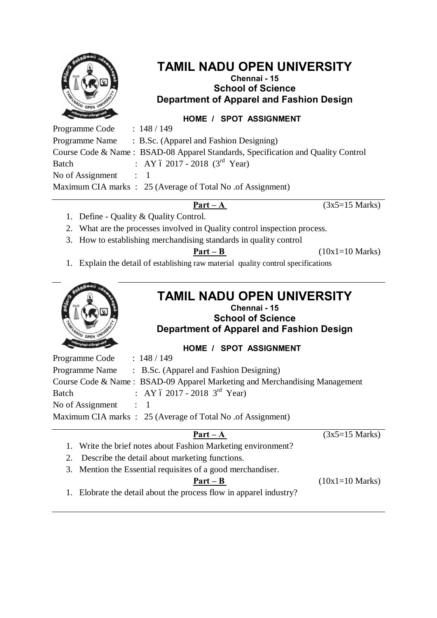

# **TAMIL NADU OPEN UNIVERSITY**

## **Chennai - 15 School of Science Department of Apparel and Fashion Design**

## **HOME / SPOT ASSIGNMENT**

Programme Code : 148 / 149 Programme Name : B.Sc. (Apparel and Fashion Designing) Course Code & Name : BSAD-08 Apparel Standards, Specification and Quality Control Batch : AY  $6\ 2017 - 2018$   $(3^{rd} \text{ Year})$ No of Assignment : 1 Maximum CIA marks : 25 (Average of Total No. of Assignment)

**Part – A**  $(3x5=15 \text{ Marks})$ 

- 1. Define Quality & Quality Control.
- 2. What are the processes involved in Quality control inspection process.
- 3. How to establishing merchandising standards in quality control

**Part – B** ( $10x1=10$  Marks)

1. Explain the detail of establishing raw material quality control specifications



## **TAMIL NADU OPEN UNIVERSITY Chennai - 15**

**School of Science Department of Apparel and Fashion Design**

**HOME / SPOT ASSIGNMENT**

Programme Code : 148 / 149 Programme Name : B.Sc. (Apparel and Fashion Designing) Course Code & Name : BSAD-09 Apparel Marketing and Merchandising Management Batch : AY  $6\ 2017 - 2018$  3<sup>rd</sup> Year) No of Assignment : 1 Maximum CIA marks : 25 (Average of Total No .of Assignment)

### **Part –** A  $(3x5=15 \text{ Marks})$

- 1. Write the brief notes about Fashion Marketing environment?
- 2. Describe the detail about marketing functions.
- 3. Mention the Essential requisites of a good merchandiser.

**Part – B** (10x1=10 Marks)

1. Elobrate the detail about the process flow in apparel industry?